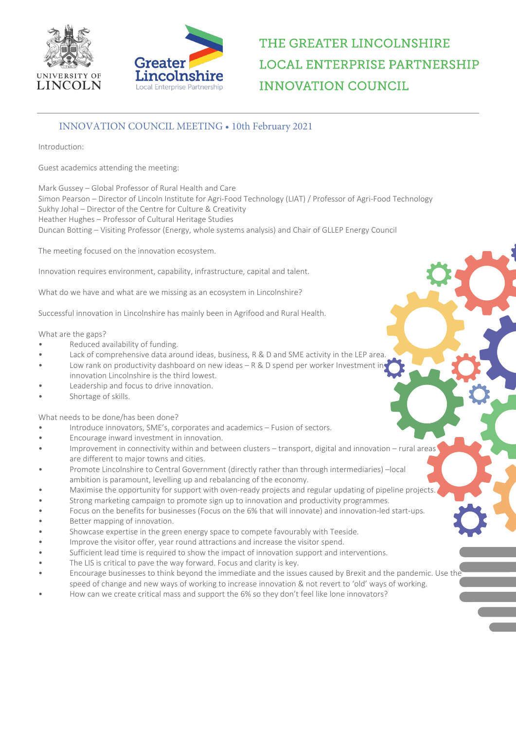



# THE GREATER LINCOLNSHIRE **LOCAL ENTERPRISE PARTNERSHIP INNOVATION COUNCIL**

### INNOVATION COUNCIL MEETING • 10th February 2021

Introduction:

Guest academics attending the meeting:

Mark Gussey – Global Professor of Rural Health and Care Simon Pearson – Director of Lincoln Institute for Agri-Food Technology (LIAT) / Professor of Agri-Food Technology Sukhy Johal – Director of the Centre for Culture & Creativity Heather Hughes – Professor of Cultural Heritage Studies Duncan Botting – Visiting Professor (Energy, whole systems analysis) and Chair of GLLEP Energy Council

The meeting focused on the innovation ecosystem.

Innovation requires environment, capability, infrastructure, capital and talent.

What do we have and what are we missing as an ecosystem in Lincolnshire?

Successful innovation in Lincolnshire has mainly been in Agrifood and Rural Health.

#### What are the gaps?

- Reduced availability of funding.
- Lack of comprehensive data around ideas, business, R & D and SME activity in the LEP area.
- Low rank on productivity dashboard on new ideas R & D spend per worker Investment in innovation Lincolnshire is the third lowest.
- Leadership and focus to drive innovation.
- Shortage of skills.

What needs to be done/has been done?

- Introduce innovators, SME's, corporates and academics Fusion of sectors.
- Encourage inward investment in innovation.
- Improvement in connectivity within and between clusters transport, digital and innovation rural areas<sup>t</sup> are different to major towns and cities.
- Promote Lincolnshire to Central Government (directly rather than through intermediaries) –local ambition is paramount, levelling up and rebalancing of the economy.
- Maximise the opportunity for support with oven-ready projects and regular updating of pipeline projects.
- Strong marketing campaign to promote sign up to innovation and productivity programmes.
- Focus on the benefits for businesses (Focus on the 6% that will innovate) and innovation-led start-ups. Better mapping of innovation.
- Showcase expertise in the green energy space to compete favourably with Teeside.
- Improve the visitor offer, year round attractions and increase the visitor spend.
- Sufficient lead time is required to show the impact of innovation support and interventions.
- The LIS is critical to pave the way forward. Focus and clarity is key.
- Encourage businesses to think beyond the immediate and the issues caused by Brexit and the pandemic. Use the
- speed of change and new ways of working to increase innovation & not revert to 'old' ways of working.
- How can we create critical mass and support the 6% so they don't feel like lone innovators?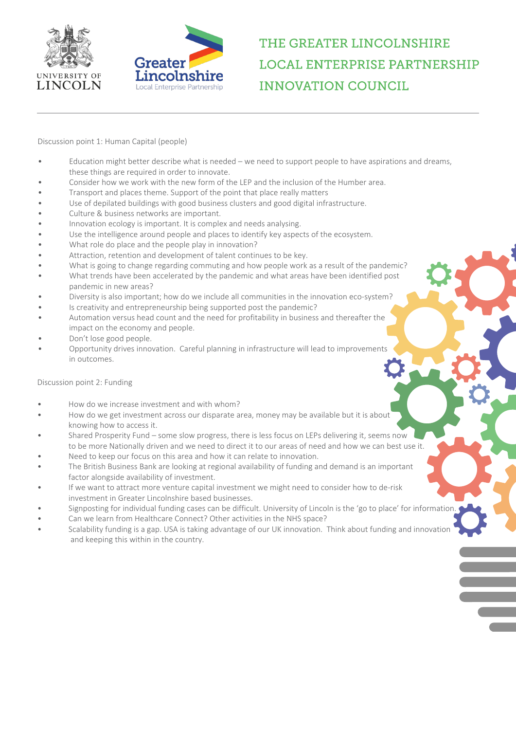



### THE GREATER LINCOLNSHIRE **LOCAL ENTERPRISE PARTNERSHIP INNOVATION COUNCIL**

Discussion point 1: Human Capital (people)

- Education might better describe what is needed we need to support people to have aspirations and dreams, these things are required in order to innovate.
- Consider how we work with the new form of the LEP and the inclusion of the Humber area.
- Transport and places theme. Support of the point that place really matters
- Use of depilated buildings with good business clusters and good digital infrastructure.
- Culture & business networks are important.
- Innovation ecology is important. It is complex and needs analysing.
- Use the intelligence around people and places to identify key aspects of the ecosystem.
- What role do place and the people play in innovation?
- Attraction, retention and development of talent continues to be key.
- What is going to change regarding commuting and how people work as a result of the pandemic?
- What trends have been accelerated by the pandemic and what areas have been identified post pandemic in new areas?
- Diversity is also important; how do we include all communities in the innovation eco-system?
- Is creativity and entrepreneurship being supported post the pandemic?
- Automation versus head count and the need for profitability in business and thereafter the impact on the economy and people.
- Don't lose good people.
- Opportunity drives innovation. Careful planning in infrastructure will lead to improvements in outcomes.

Discussion point 2: Funding

- How do we increase investment and with whom?
- How do we get investment across our disparate area, money may be available but it is about knowing how to access it.
- Shared Prosperity Fund some slow progress, there is less focus on LEPs delivering it, seems now to be more Nationally driven and we need to direct it to our areas of need and how we can best use it.
- Need to keep our focus on this area and how it can relate to innovation.
- The British Business Bank are looking at regional availability of funding and demand is an important factor alongside availability of investment.
- If we want to attract more venture capital investment we might need to consider how to de-risk investment in Greater Lincolnshire based businesses.
- Signposting for individual funding cases can be difficult. University of Lincoln is the 'go to place' for information.
- Can we learn from Healthcare Connect? Other activities in the NHS space?
- Scalability funding is a gap. USA is taking advantage of our UK innovation. Think about funding and innovation and keeping this within in the country.